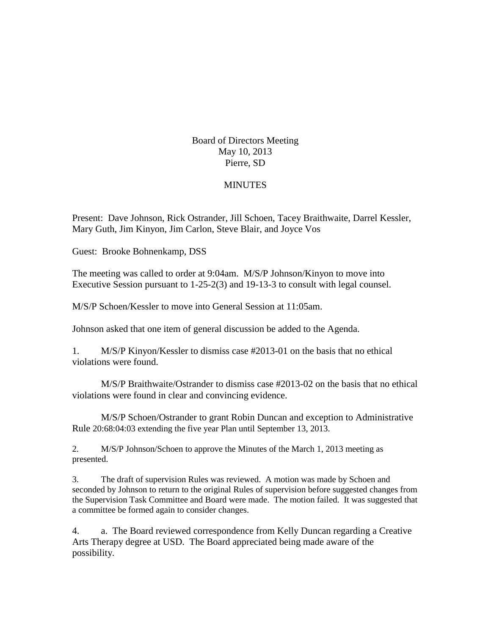Board of Directors Meeting May 10, 2013 Pierre, SD

## **MINUTES**

Present: Dave Johnson, Rick Ostrander, Jill Schoen, Tacey Braithwaite, Darrel Kessler, Mary Guth, Jim Kinyon, Jim Carlon, Steve Blair, and Joyce Vos

Guest: Brooke Bohnenkamp, DSS

The meeting was called to order at 9:04am. M/S/P Johnson/Kinyon to move into Executive Session pursuant to 1-25-2(3) and 19-13-3 to consult with legal counsel.

M/S/P Schoen/Kessler to move into General Session at 11:05am.

Johnson asked that one item of general discussion be added to the Agenda.

1. M/S/P Kinyon/Kessler to dismiss case #2013-01 on the basis that no ethical violations were found.

M/S/P Braithwaite/Ostrander to dismiss case #2013-02 on the basis that no ethical violations were found in clear and convincing evidence.

M/S/P Schoen/Ostrander to grant Robin Duncan and exception to Administrative Rule 20:68:04:03 extending the five year Plan until September 13, 2013.

2. M/S/P Johnson/Schoen to approve the Minutes of the March 1, 2013 meeting as presented.

3. The draft of supervision Rules was reviewed. A motion was made by Schoen and seconded by Johnson to return to the original Rules of supervision before suggested changes from the Supervision Task Committee and Board were made. The motion failed. It was suggested that a committee be formed again to consider changes.

4. a. The Board reviewed correspondence from Kelly Duncan regarding a Creative Arts Therapy degree at USD. The Board appreciated being made aware of the possibility.